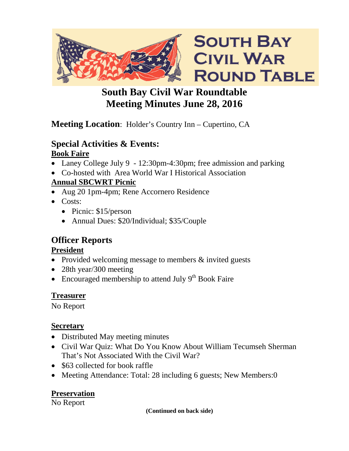

# **South Bay Civil War Roundtable Meeting Minutes June 28, 2016**

# **Meeting Location**: Holder's Country Inn – Cupertino, CA

### **Special Activities & Events: Book Faire**

- Laney College July 9 12:30pm-4:30pm; free admission and parking
- Co-hosted with Area World War I Historical Association

## **Annual SBCWRT Picnic**

- Aug 20 1pm-4pm; Rene Accornero Residence
- Costs:
	- Picnic: \$15/person
	- Annual Dues: \$20/Individual; \$35/Couple

# **Officer Reports**

## **President**

- Provided welcoming message to members & invited guests
- 28th year/300 meeting
- Encouraged membership to attend July  $9<sup>th</sup>$  Book Faire

## **Treasurer**

No Report

## **Secretary**

- Distributed May meeting minutes
- Civil War Quiz: What Do You Know About William Tecumseh Sherman That's Not Associated With the Civil War?
- \$63 collected for book raffle
- Meeting Attendance: Total: 28 including 6 guests; New Members: 0

# **Preservation**

No Report

**(Continued on back side)**